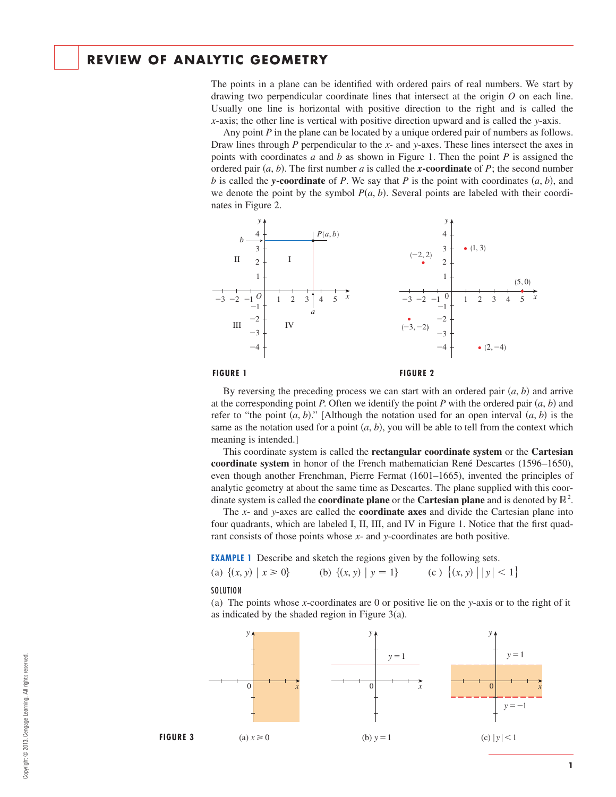# **REVIEW OF ANALYTIC GEOMETRY**

The points in a plane can be identified with ordered pairs of real numbers. We start by drawing two perpendicular coordinate lines that intersect at the origin  $O$  on each line. Usually one line is horizontal with positive direction to the right and is called the *x*-axis; the other line is vertical with positive direction upward and is called the y-axis.

Any point  $P$  in the plane can be located by a unique ordered pair of numbers as follows. Draw lines through P perpendicular to the x- and y-axes. These lines intersect the axes in points with coordinates  $a$  and  $b$  as shown in Figure 1. Then the point  $P$  is assigned the ordered pair  $(a, b)$ . The first number a is called the **x-coordinate** of P; the second number  $b$  is called the *y***-coordinate** of  $P$ . We say that  $P$  is the point with coordinates  $(a, b)$ , and we denote the point by the symbol  $P(a, b)$ . Several points are labeled with their coordinates in Figure 2.



#### **FIGURE 1**



By reversing the preceding process we can start with an ordered pair  $(a, b)$  and arrive at the corresponding point P. Often we identify the point P with the ordered pair  $(a, b)$  and refer to "the point  $(a, b)$ ." [Although the notation used for an open interval  $(a, b)$  is the same as the notation used for a point  $(a, b)$ , you will be able to tell from the context which meaning is intended.]

This coordinate system is called the **rectangular coordinate system** or the **Cartesian coordinate system** in honor of the French mathematician René Descartes (1596–1650), even though another Frenchman, Pierre Fermat (1601–1665), invented the principles of analytic geometry at about the same time as Descartes. The plane supplied with this coordinate system is called the **coordinate plane** or the **Cartesian plane** and is denoted by  $\mathbb{R}^2$ .

The *x*- and *y*-axes are called the **coordinate axes** and divide the Cartesian plane into four quadrants, which are labeled I, II, III, and IV in Figure 1. Notice that the first quadrant consists of those points whose x- and y-coordinates are both positive.

**EXAMPLE 1** Describe and sketch the regions given by the following sets.

| (a) $\{(x, y)   x \ge 0\}$ | (b) $\{(x, y)   y = 1\}$ | (c) $\{(x, y)    y  < 1\}$ |
|----------------------------|--------------------------|----------------------------|
|                            |                          |                            |

**SOLUTION** 

(a) The points whose *x*-coordinates are 0 or positive lie on the *y*-axis or to the right of it as indicated by the shaded region in Figure 3(a).

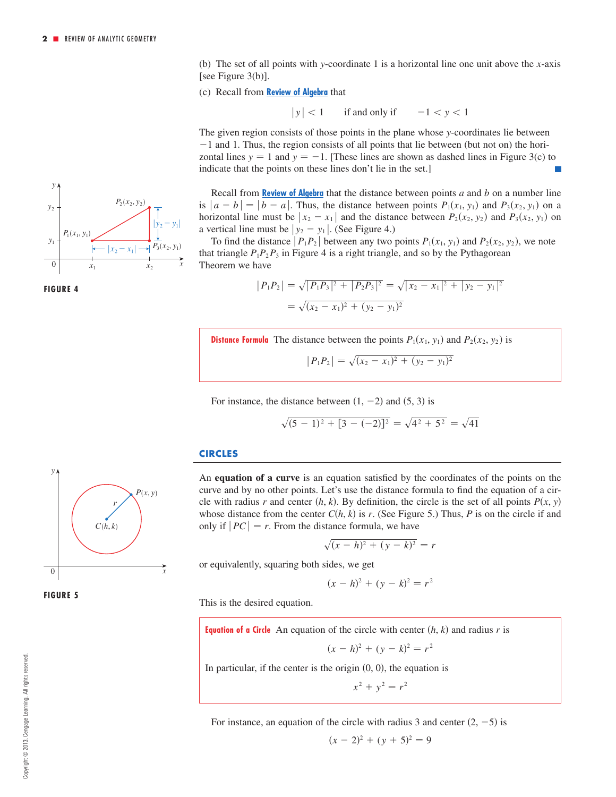(b) The set of all points with y-coordinate 1 is a horizontal line one unit above the x-axis [see Figure 3(b)].

(c) Recall from **Review of Algebra** that

 $|y| < 1$  $1 < 1$  if and only if  $-1 < y < 1$ 

The given region consists of those points in the plane whose y-coordinates lie between  $-1$  and 1. Thus, the region consists of all points that lie between (but not on) the horizontal lines  $y = 1$  and  $y = -1$ . [These lines are shown as dashed lines in Figure 3(c) to indicate that the points on these lines don't lie in the set.]

Recall from **Review of Algebra** that the distance between points *a* and *b* on a number line is  $|a - b| = |b - a|$ . Thus, the distance between points  $P_1(x_1, y_1)$  and  $P_3(x_2, y_1)$  on a horizontal line must be  $|x_2 - x_1|$  and the distance between  $P_2(x_2, y_2)$  and  $P_3(x_2, y_1)$  on a vertical line must be  $|y_2 - y_1|$ . (See Figure 4.)

To find the distance  $\left| P_1 P_2 \right|$  between any two points  $P_1(x_1, y_1)$  and  $P_2(x_2, y_2)$ , we note that triangle  $P_1P_2P_3$  in Figure 4 is a right triangle, and so by the Pythagorean Theorem we have

$$
|P_1P_2| = \sqrt{|P_1P_3|^2 + |P_2P_3|^2} = \sqrt{|x_2 - x_1|^2 + |y_2 - y_1|^2}
$$
  
=  $\sqrt{(x_2 - x_1)^2 + (y_2 - y_1)^2}$ 

**Distance Formula** The distance between the points  $P_1(x_1, y_1)$  and  $P_2(x_2, y_2)$  is

$$
|P_1P_2| = \sqrt{(x_2 - x_1)^2 + (y_2 - y_1)^2}
$$

For instance, the distance between  $(1, -2)$  and  $(5, 3)$  is

$$
\sqrt{(5-1)^2 + [3-(-2)]^2} = \sqrt{4^2 + 5^2} = \sqrt{41}
$$

#### **CIRCLES**

An **equation of a curve** is an equation satisfied by the coordinates of the points on the curve and by no other points. Let's use the distance formula to find the equation of a circle with radius r and center  $(h, k)$ . By definition, the circle is the set of all points  $P(x, y)$ whose distance from the center  $C(h, k)$  is r. (See Figure 5.) Thus, P is on the circle if and only if  $|PC| = r$ . From the distance formula, we have

$$
\sqrt{(x-h)^2 + (y-k)^2} = r
$$

or equivalently, squaring both sides, we get

This is the desired equation.

$$
(x-h)^2 + (y-k)^2 = r^2
$$

**FIGURE 5**







**Equation of a Circle** An equation of the circle with center  $(h, k)$  and radius r is

$$
(x-h)^2 + (y-k)^2 = r^2
$$

In particular, if the center is the origin  $(0, 0)$ , the equation is

$$
x^2 + y^2 = r^2
$$

For instance, an equation of the circle with radius 3 and center  $(2, -5)$  is

$$
(x-2)^2 + (y+5)^2 = 9
$$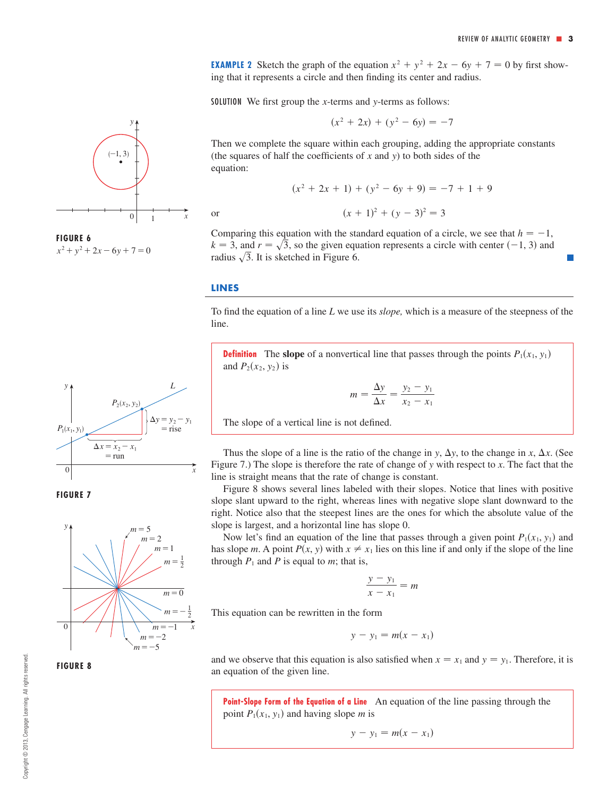**EXAMPLE 2** Sketch the graph of the equation  $x^2 + y^2 + 2x - 6y + 7 = 0$  by first showing that it represents a circle and then finding its center and radius.

SOLUTION We first group the *x*-terms and *y*-terms as follows:

$$
(x^2 + 2x) + (y^2 - 6y) = -7
$$

Then we complete the square within each grouping, adding the appropriate constants (the squares of half the coefficients of  $x$  and  $y$ ) to both sides of the equation:

$$
(x2 + 2x + 1) + (y2 - 6y + 9) = -7 + 1 + 9
$$

 $(x + 1)^2 + (y - 3)^2 = 3$ 

Comparing this equation with the standard equation of a circle, we see that  $h = -1$ ,  $k = 3$ , and  $r = \sqrt{3}$ , so the given equation represents a circle with center (-1, 3) and radius  $\sqrt{3}$ . It is sketched in Figure 6.

#### **LINES**

or

To find the equation of a line L we use its *slope*, which is a measure of the steepness of the line.

**Definition** The slope of a nonvertical line that passes through the points  $P_1(x_1, y_1)$ and  $P_2(x_2, y_2)$  is

$$
m = \frac{\Delta y}{\Delta x} = \frac{y_2 - y_1}{x_2 - x_1}
$$

The slope of a vertical line is not defined.

Thus the slope of a line is the ratio of the change in y,  $\Delta y$ , to the change in x,  $\Delta x$ . (See Figure 7.) The slope is therefore the rate of change of *y* with respect to *x*. The fact that the line is straight means that the rate of change is constant.

Figure 8 shows several lines labeled with their slopes. Notice that lines with positive slope slant upward to the right, whereas lines with negative slope slant downward to the right. Notice also that the steepest lines are the ones for which the absolute value of the slope is largest, and a horizontal line has slope 0.

Now let's find an equation of the line that passes through a given point  $P_1(x_1, y_1)$  and has slope *m*. A point  $P(x, y)$  with  $x \neq x_1$  lies on this line if and only if the slope of the line through  $P_1$  and  $P$  is equal to  $m$ ; that is,

$$
\frac{y - y_1}{x - x_1} = m
$$

This equation can be rewritten in the form

$$
y - y_1 = m(x - x_1)
$$

and we observe that this equation is also satisfied when  $x = x_1$  and  $y = y_1$ . Therefore, it is an equation of the given line.

**Point-Slope Form of the Equation of a Line** An equation of the line passing through the point  $P_1(x_1, y_1)$  and having slope *m* is

$$
y - y_1 = m(x - x_1)
$$



 $x^2 + y^2 + 2x - 6y + 7 = 0$ 





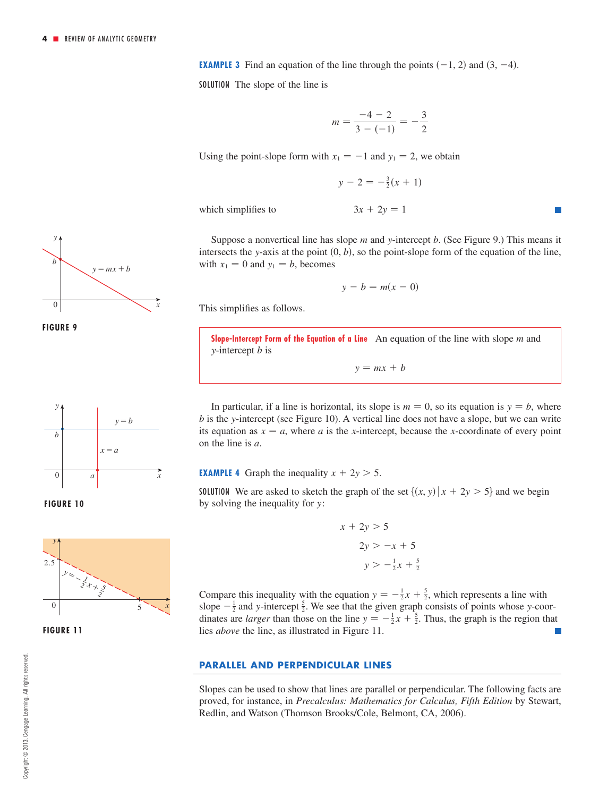**EXAMPLE 3** Find an equation of the line through the points  $(-1, 2)$  and  $(3, -4)$ .

SOLUTION The slope of the line is

$$
m = \frac{-4 - 2}{3 - (-1)} = -\frac{3}{2}
$$

Using the point-slope form with  $x_1 = -1$  and  $y_1 = 2$ , we obtain

$$
y - 2 = -\frac{3}{2}(x + 1)
$$

which simplifies to

$$
3x + 2y = 1
$$

Suppose a nonvertical line has slope m and y-intercept b. (See Figure 9.) This means it intersects the y-axis at the point  $(0, b)$ , so the point-slope form of the equation of the line, with  $x_1 = 0$  and  $y_1 = b$ , becomes

$$
y - b = m(x - 0)
$$

This simplifies as follows.

**Slope-Intercept Form of the Equation of a Line** An equation of the line with slope m and *y*-intercept *b* is

 $y = mx + b$ 

In particular, if a line is horizontal, its slope is  $m = 0$ , so its equation is  $y = b$ , where *b* is the y-intercept (see Figure 10). A vertical line does not have a slope, but we can write its equation as  $x = a$ , where a is the x-intercept, because the x-coordinate of every point on the line is  $a$ .

### **EXAMPLE 4** Graph the inequality  $x + 2y > 5$ .

**SOLUTION** We are asked to sketch the graph of the set  $\{(x, y) | x + 2y > 5\}$  and we begin by solving the inequality for y:

$$
x + 2y > 5
$$
  

$$
2y > -x + 5
$$
  

$$
y > -\frac{1}{2}x + \frac{5}{2}
$$

Compare this inequality with the equation  $y = -\frac{1}{2}x + \frac{5}{2}$ , which represents a line with slope  $-\frac{1}{2}$  and y-intercept  $\frac{5}{2}$ . We see that the given graph consists of points whose y-coordinates are *larger* than those on the line  $y = -\frac{1}{2}x + \frac{5}{2}$ . Thus, the graph is the region that lies *above* the line, as illustrated in Figure 11.

### **PARALLEL AND PERPENDICULAR LINES**

Slopes can be used to show that lines are parallel or perpendicular. The following facts are proved, for instance, in *Precalculus: Mathematics for Calculus, Fifth Edition* by Stewart, Redlin, and Watson (Thomson Brooks/Cole, Belmont, CA, 2006).











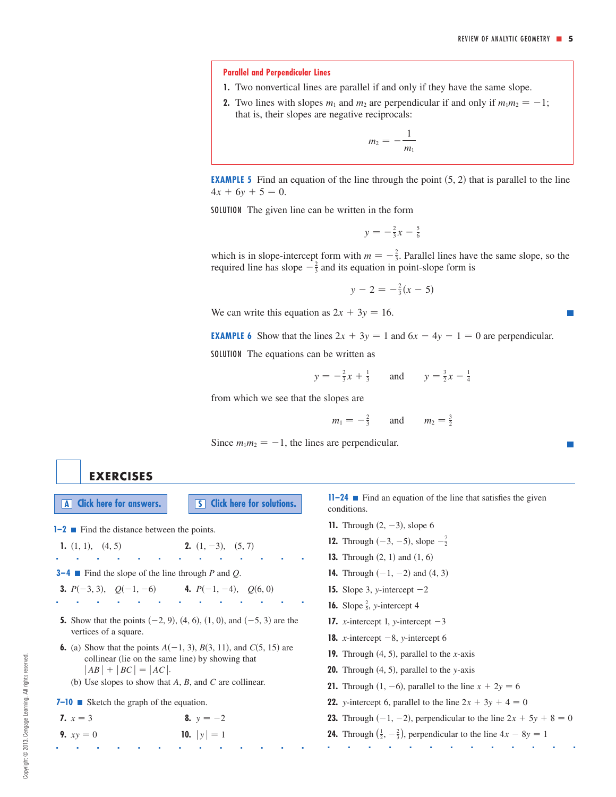#### **Parallel and Perpendicular Lines**

- **1.** Two nonvertical lines are parallel if and only if they have the same slope.
- **2.** Two lines with slopes  $m_1$  and  $m_2$  are perpendicular if and only if  $m_1 m_2 = -1$ ; that is, their slopes are negative reciprocals:

$$
m_2=-\frac{1}{m_1}
$$

**EXAMPLE 5** Find an equation of the line through the point  $(5, 2)$  that is parallel to the line  $4x + 6y + 5 = 0.$ 

SOLUTION The given line can be written in the form

$$
y = -\frac{2}{3}x - \frac{5}{6}
$$

which is in slope-intercept form with  $m = -\frac{2}{3}$ . Parallel lines have the same slope, so the required line has slope  $-\frac{2}{3}$  and its equation in point-slope form is

$$
y - 2 = -\frac{2}{3}(x - 5)
$$

We can write this equation as  $2x + 3y = 16$ .

**EXAMPLE 6** Show that the lines  $2x + 3y = 1$  and  $6x - 4y - 1 = 0$  are perpendicular.

SOLUTION The equations can be written as

$$
y = -\frac{2}{3}x + \frac{1}{3}
$$
 and  $y = \frac{3}{2}x - \frac{1}{4}$ 

from which we see that the slopes are

$$
m_1 = -\frac{2}{3}
$$
 and  $m_2 = \frac{3}{2}$ 

Since  $m_1 m_2 = -1$ , the lines are perpendicular.

# **EXERCISES**

**A Click** here for answers. **S S Click** here for solutions.

**1–2** ■ Find the distance between the points.

**1.** (1, 1), (4, 5) **2.** (1, -3), ■■■■■■■■■■■■■

**3–4 Find the slope of the line through P and Q.** 

**3.** 
$$
P(-3, 3)
$$
,  $Q(-1, -6)$  **4.**  $P(-1, -4)$ ,

**5.** Show that the points  $(-2, 9)$ ,  $(4, 6)$ ,  $(1, 0)$ , and  $(-5, 3)$  are the vertices of a square.

■■■■■■■■■■■■■

 $2. (1, -3), (5, 7)$ 

**4.**  $P(-1, -4)$ ,  $Q(6, 0)$ 

**6.** (a) Show that the points  $A(-1, 3)$ ,  $B(3, 11)$ , and  $C(5, 15)$  are collinear (lie on the same line) by showing that  $|AB| + |BC| = |AC|$ .

■■■■■■■■■■■■■

- (b) Use slopes to show that  $A$ ,  $B$ , and  $C$  are collinear.
- **7–10** Sketch the graph of the equation.

**7.** 
$$
x = 3
$$
  
\n**8.**  $y = -2$   
\n**9.**  $xy = 0$   
\n**10.**  $|y| = 1$ 

**11–24** ■ Find an equation of the line that satisfies the given conditions.

- **11.** Through  $(2, -3)$ , slope 6
- **12.** Through  $(-3, -5)$ , slope  $-\frac{7}{2}$
- **13.** Through  $(2, 1)$  and  $(1, 6)$
- **14.** Through  $(-1, -2)$  and  $(4, 3)$
- **15.** Slope 3, *y*-intercept  $-2$
- **16.** Slope  $\frac{2}{5}$ , y-intercept 4
- **17.** *x*-intercept 1, *y*-intercept  $-3$
- **18.** *x*-intercept  $-8$ , *y*-intercept 6
- **19.** Through  $(4, 5)$ , parallel to the *x*-axis
- **20.** Through  $(4, 5)$ , parallel to the y-axis
- **21.** Through  $(1, -6)$ , parallel to the line  $x + 2y = 6$
- **22.** *y*-intercept 6, parallel to the line  $2x + 3y + 4 = 0$
- **23.** Through  $(-1, -2)$ , perpendicular to the line  $2x + 5y + 8 = 0$

■■■■■■■■■■■■■

**24.** Through  $\left(\frac{1}{2}, -\frac{2}{3}\right)$ , perpendicular to the line  $4x - 8y = 1$ 

 $\mathcal{C}^{\mathcal{A}}$ 

**I**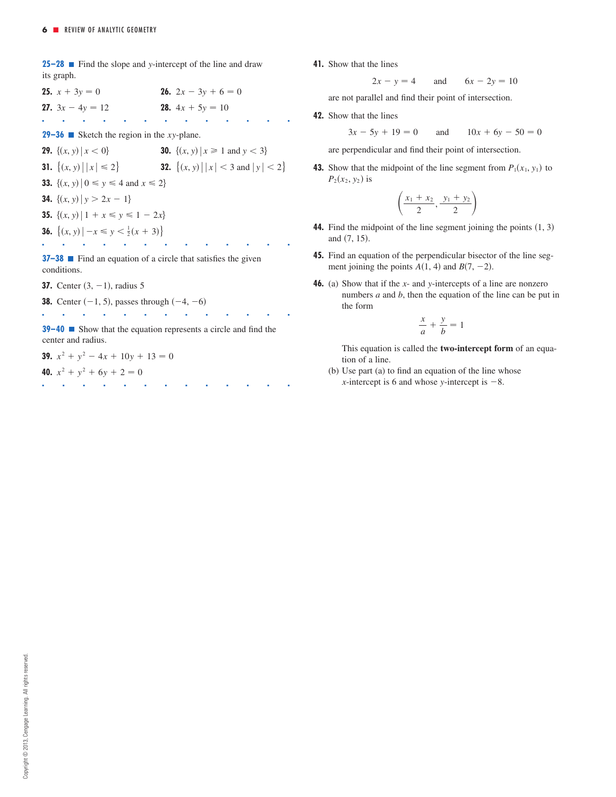**25–28**  $\blacksquare$  Find the slope and y-intercept of the line and draw its graph.

**25.**  $x + 3y = 0$ **27.**  $3x - 4y = 12$ ■■■■■■■■■■■■■ **28.**  $4x + 5y = 10$ **26.**  $2x - 3y + 6 = 0$ 

**29–36** Sketch the region in the *xy*-plane.

**29.**  $\{(x, y) | x < 0\}$  **30.**  $\{(x, y) | x \leq 0\}$ **31.**  $\{(x, y) | |x| \le 2\}$  ${(x, y) | |x| \le 2}$  32.  ${(x, y) | |x| < 3 \text{ and } |y| < 2}$ *x*,  $\{ (x, y) \mid x \ge 1 \text{ and } y \le 3 \}$ 

**33.**  $\{(x, y) | 0 \le y \le 4 \text{ and } x \le 2\}$ 

**34.**  $\{(x, y) | y > 2x - 1\}$ 

**35.**  $\{(x, y) | 1 + x \leq y \leq 1 - 2x\}$ 

**36.**  $\{(x, y) | -x \leq y < \frac{1}{2}(x + 3)\}\$ 

**37–38** ■ Find an equation of a circle that satisfies the given conditions.

■■■■■■■■■■■■■

**37.** Center  $(3, -1)$ , radius 5

**38.** Center  $(-1, 5)$ , passes through  $(-4, -6)$ ■■■■■■■■■■■■■

**39–40** ■ Show that the equation represents a circle and find the center and radius.

■■■■■■■■■■■■■

**39.**  $x^2 + y^2 - 4x + 10y + 13 = 0$ 

**40.**  $x^2 + y^2 + 6y + 2 = 0$ 

**41.** Show that the lines

and  $2x - y = 4$  and  $6x - 2y = 10$ 

are not parallel and find their point of intersection.

**42.** Show that the lines

and  $3x - 5y + 19 = 0$  and  $10x + 6y - 50 = 0$ 

are perpendicular and find their point of intersection.

**43.** Show that the midpoint of the line segment from  $P_1(x_1, y_1)$  to  $P_2(x_2, y_2)$  is

$$
\left(\frac{x_1+x_2}{2},\frac{y_1+y_2}{2}\right)
$$

- **44.** Find the midpoint of the line segment joining the points  $(1, 3)$ and (7, 15).
- **45.** Find an equation of the perpendicular bisector of the line segment joining the points  $A(1, 4)$  and  $B(7, -2)$ .
- **46.** (a) Show that if the x- and y-intercepts of a line are nonzero numbers  $a$  and  $b$ , then the equation of the line can be put in the form

$$
\frac{x}{a} + \frac{y}{b} = 1
$$

This equation is called the **two-intercept form** of an equation of a line.

(b) Use part (a) to find an equation of the line whose *x*-intercept is 6 and whose *y*-intercept is  $-8$ .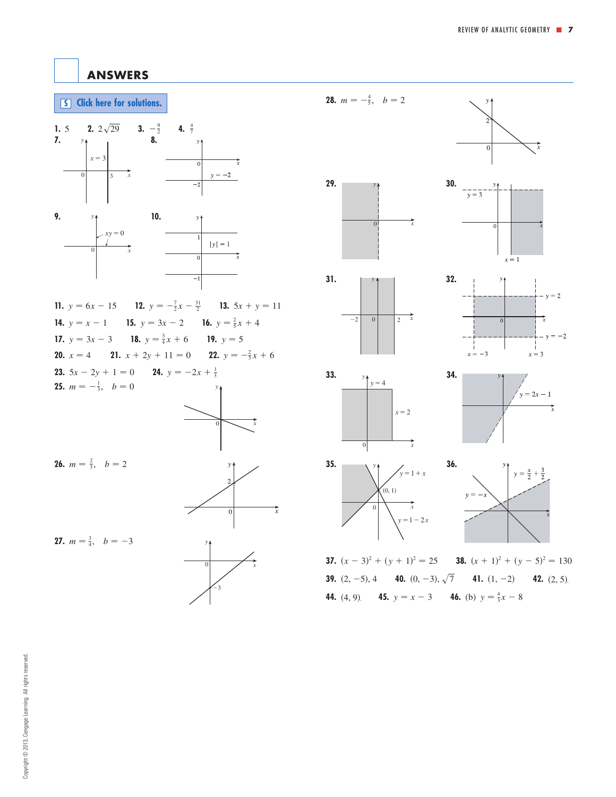$x = 1$ 

# <span id="page-6-0"></span>**ANSWERS**





**23.**  $5x - 2y + 1 = 0$ **25.**  $m = -\frac{1}{3}, \quad b = 0$ **24.**  $y = -2x + \frac{1}{3}$ 



```
26. m = \frac{2}{3}, b = 2
```


0 *x*

 $^{-3}$ 

**27.**  $m = \frac{3}{4}, b = -3$ 



**28.**  $m = -\frac{4}{5}, b = 2$ 

**29.**  $\begin{array}{ccc}\n & \times \uparrow \\
& \times \uparrow\n\end{array}$  30.

*y*



 $\frac{1}{y} = \frac{1}{3}$ 

**37.**  $(x-3)^2 + (y+1)^2 = 25$  **38.**  $(x+1)^2 + (y-5)^2 = 130$ **39.**  $(2, -5)$ , 4 **40.**  $(0, -3)$ ,  $\sqrt{7}$  **41.**  $(1, -2)$  **42.**  $(2, 5)$ **44.** (4, 9) **45.**  $y = x - 3$  **46.** (b)  $y = \frac{4}{3}x - 8$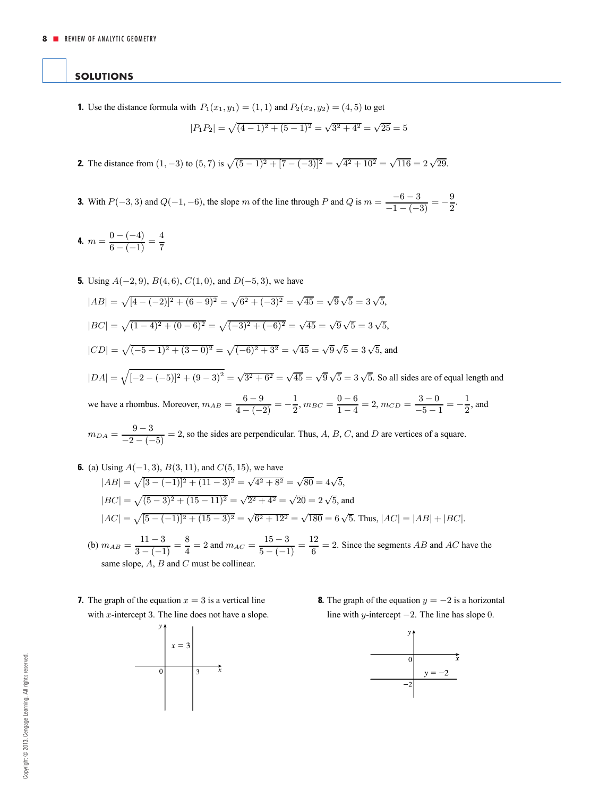## <span id="page-7-0"></span>**SOLUTIONS**

**1.** Use the distance formula with  $P_1(x_1, y_1) = (1, 1)$  and  $P_2(x_2, y_2) = (4, 5)$  to get

$$
|P_1P_2| = \sqrt{(4-1)^2 + (5-1)^2} = \sqrt{3^2 + 4^2} = \sqrt{25} = 5
$$

- **2.** The distance from  $(1, -3)$  to  $(5, 7)$  is  $\sqrt{(5-1)^2 + [7-(-3)]^2} = \sqrt{4^2 + 10^2} = \sqrt{116} = 2\sqrt{29}$ .
- **3.** With  $P(-3, 3)$  and  $Q(-1, -6)$ , the slope m of the line through P and Q is  $m = \frac{-6 3}{-1 (-3)} = -\frac{9}{2}$ .

**4.**  $m = \frac{0 - (-4)}{6 - (-1)} = \frac{4}{7}$ 

**5.** Using  $A(-2, 9)$ ,  $B(4, 6)$ ,  $C(1, 0)$ , and  $D(-5, 3)$ , we have

 $|AB| = \sqrt{[4 - (-2)]^2 + (6 - 9)^2} = \sqrt{6^2 + (-3)^2} = \sqrt{45} = \sqrt{9}\sqrt{5} = 3\sqrt{5}$ ,  $|BC| = \sqrt{(1-4)^2 + (0-6)^2} = \sqrt{(-3)^2 + (-6)^2} = \sqrt{45} = \sqrt{9}\sqrt{5} = 3\sqrt{5}$ ,  $|CD| = \sqrt{(-5-1)^2 + (3-0)^2} = \sqrt{(-6)^2 + 3^2} = \sqrt{45} = \sqrt{9}\sqrt{5} = 3\sqrt{5}$ , and  $|DA| = \sqrt{[-2 - (-5)]^2 + (9 - 3)^2} = \sqrt{3^2 + 6^2} = \sqrt{45} = \sqrt{9}\sqrt{5} = 3\sqrt{5}$ . So all sides are of equal length and we have a rhombus. Moreover,  $m_{AB} = \frac{6-9}{4-(-2)} = -\frac{1}{2}$ ,  $m_{BC} = \frac{0-6}{1-4} = 2$ ,  $m_{CD} = \frac{3-0}{-5-1} = -\frac{1}{2}$ , and

$$
m_{DA} = \frac{9-3}{-2 - (-5)} = 2
$$
, so the sides are perpendicular. Thus, *A*, *B*, *C*, and *D* are vertices of a square.

**6.** (a) Using 
$$
A(-1, 3)
$$
,  $B(3, 11)$ , and  $C(5, 15)$ , we have  
\n
$$
|AB| = \sqrt{[3 - (-1)]^2 + (11 - 3)^2} = \sqrt{4^2 + 8^2} = \sqrt{80} = 4\sqrt{5},
$$
\n
$$
|BC| = \sqrt{(5 - 3)^2 + (15 - 11)^2} = \sqrt{2^2 + 4^2} = \sqrt{20} = 2\sqrt{5},
$$
\nand\n
$$
|AC| = \sqrt{[5 - (-1)]^2 + (15 - 3)^2} = \sqrt{6^2 + 12^2} = \sqrt{180} = 6\sqrt{5}.
$$
\nThus,  $|AC| = |AB| + |BC|$ .

- (b)  $m_{AB} = \frac{11-3}{3-(-1)} = \frac{8}{4} = 2$  and  $m_{AC} = \frac{15-3}{5-(-1)} = \frac{12}{6} = 2$ . Since the segments *AB* and *AC* have the same slope,  $A$ ,  $B$  and  $C$  must be collinear.
- **7.** The graph of the equation  $x = 3$  is a vertical line with  $x$ -intercept 3. The line does not have a slope.



**8.** The graph of the equation  $y = -2$  is a horizontal line with y-intercept  $-2$ . The line has slope 0.

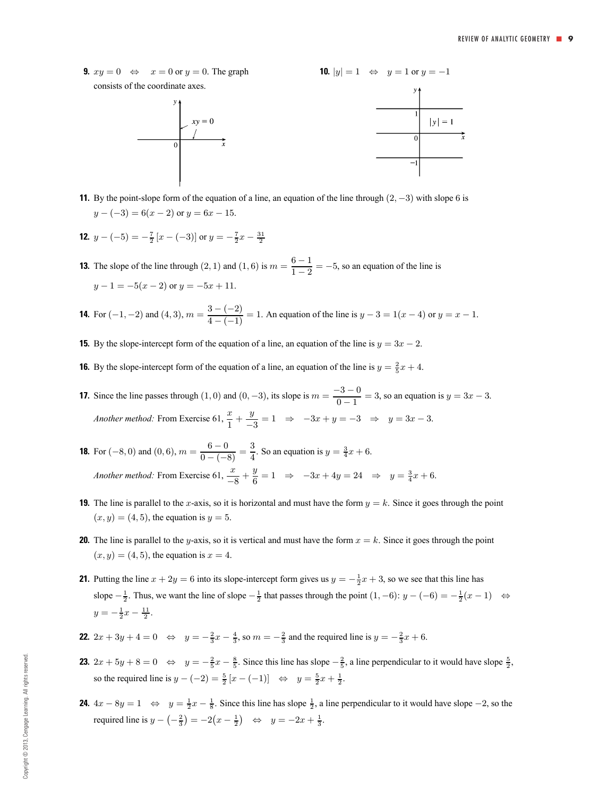**9.**  $xy = 0 \Leftrightarrow x = 0$  or  $y = 0$ . The graph consists of the coordinate axes.





**11.** By the point-slope form of the equation of a line, an equation of the line through (2, −3) with slope 6 is  $y - (-3) = 6(x - 2)$  or  $y = 6x - 15$ .

**12.** 
$$
y - (-5) = -\frac{7}{2} [x - (-3)]
$$
 or  $y = -\frac{7}{2}x - \frac{31}{2}$ 

- **13.** The slope of the line through  $(2, 1)$  and  $(1, 6)$  is  $m = \frac{6-1}{1-2} = -5$ , so an equation of the line is  $y-1=-5(x-2)$  or  $y=-5x+11$ .
- **14.** For  $(-1, -2)$  and  $(4, 3)$ ,  $m = \frac{3 (-2)}{4 (-1)} = 1$ . An equation of the line is  $y 3 = 1(x 4)$  or  $y = x 1$ .
- **15.** By the slope-intercept form of the equation of a line, an equation of the line is  $y = 3x 2$ .
- **16.** By the slope-intercept form of the equation of a line, an equation of the line is  $y = \frac{2}{5}x + 4$ .
- **17.** Since the line passes through  $(1, 0)$  and  $(0, -3)$ , its slope is  $m = \frac{-3 0}{0 1} = 3$ , so an equation is  $y = 3x 3$ . *Another method:* From Exercise 61,  $\frac{x}{1} + \frac{y}{-3} = 1 \Rightarrow -3x + y = -3 \Rightarrow y = 3x - 3.$
- **18.** For (-8, 0) and (0, 6),  $m = \frac{6-0}{0-(-8)} = \frac{3}{4}$ . So an equation is  $y = \frac{3}{4}x + 6$ . *Another method:* From Exercise  $61$ ,  $\frac{x}{-8} + \frac{y}{6} = 1 \Rightarrow -3x + 4y = 24 \Rightarrow y = \frac{3}{4}x + 6$ .
- **19.** The line is parallel to the x-axis, so it is horizontal and must have the form  $y = k$ . Since it goes through the point  $(x, y) = (4, 5)$ , the equation is  $y = 5$ .
- **20.** The line is parallel to the y-axis, so it is vertical and must have the form  $x = k$ . Since it goes through the point  $(x, y) = (4, 5)$ , the equation is  $x = 4$ .
- **21.** Putting the line  $x + 2y = 6$  into its slope-intercept form gives us  $y = -\frac{1}{2}x + 3$ , so we see that this line has slope  $-\frac{1}{2}$ . Thus, we want the line of slope  $-\frac{1}{2}$  that passes through the point  $(1, -6)$ :  $y - (-6) = -\frac{1}{2}(x - 1)$  ⇔  $y = -\frac{1}{2}x - \frac{11}{2}$ .
- **22.**  $2x + 3y + 4 = 0 \Leftrightarrow y = -\frac{2}{3}x \frac{4}{3}$ , so  $m = -\frac{2}{3}$  and the required line is  $y = -\frac{2}{3}x + 6$ .
- **23.**  $2x + 5y + 8 = 0 \Leftrightarrow y = -\frac{2}{5}x \frac{8}{5}$ . Since this line has slope  $-\frac{2}{5}$ , a line perpendicular to it would have slope  $\frac{5}{2}$ , so the required line is  $y - (-2) = \frac{5}{2} [x - (-1)]$  ⇔  $y = \frac{5}{2} x + \frac{1}{2}$ .
- **24.**  $4x 8y = 1 \Leftrightarrow y = \frac{1}{2}x \frac{1}{8}$ . Since this line has slope  $\frac{1}{2}$ , a line perpendicular to it would have slope −2, so the required line is  $y - \left(-\frac{2}{3}\right) = -2\left(x - \frac{1}{2}\right)$  ⇔  $y = -2x + \frac{1}{3}$ .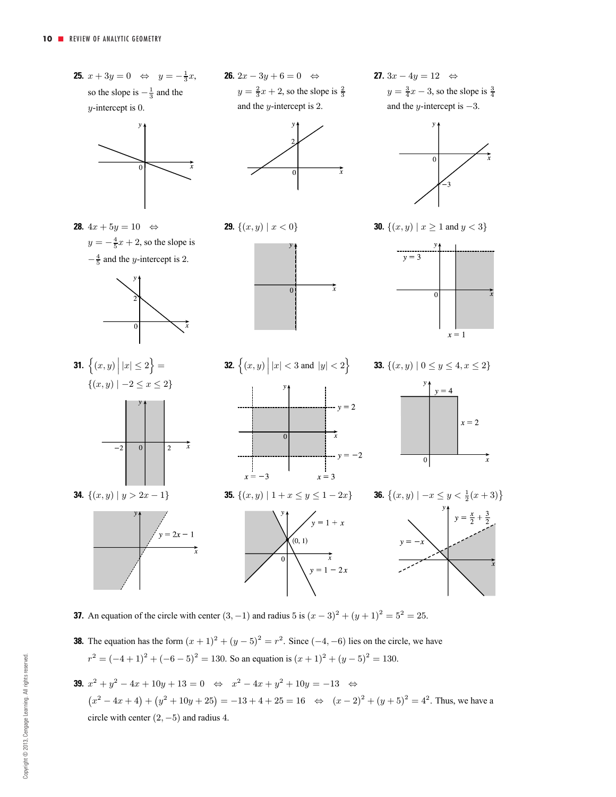

- **37.** An equation of the circle with center  $(3, -1)$  and radius 5 is  $(x 3)^2 + (y + 1)^2 = 5^2 = 25$ .
- **38.** The equation has the form  $(x + 1)^2 + (y 5)^2 = r^2$ . Since  $(-4, -6)$  lies on the circle, we have  $r^2 = (-4+1)^2 + (-6-5)^2 = 130$ . So an equation is  $(x + 1)^2 + (y - 5)^2 = 130$ .
- **39.**  $x^2 + y^2 4x + 10y + 13 = 0 \Leftrightarrow x^2 4x + y^2 + 10y = -13 \Leftrightarrow$  $(x^{2} - 4x + 4) + (y^{2} + 10y + 25) = -13 + 4 + 25 = 16 \Leftrightarrow (x - 2)^{2} + (y + 5)^{2} = 4^{2}$ . Thus, we have a circle with center  $(2, -5)$  and radius 4.